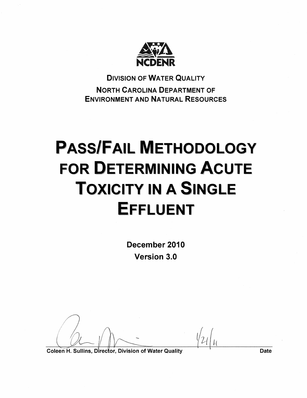

**DIVISION OF WATER QUALITY NORTH CAROLINA DEPARTMENT OF ENVIRONMENT AND NATURAL RESOURCES** 

# **PASS/FAIL METHODOLOGY FOR DETERMINING ACUTE TOXICITY IN A SINGLE EFFLUENT**

December 2010 **Version 3.0** 

Coleen H. Sullins, Director, Division of Water Quality

**Date**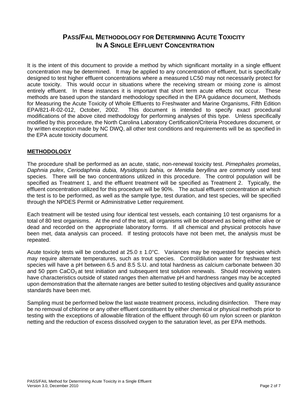# **PASS/FAIL METHODOLOGY FOR DETERMINING ACUTE TOXICITY IN A SINGLE FEELUENT CONCENTRATION**

It is the intent of this document to provide a method by which significant mortality in a single effluent concentration may be determined. It may be applied to any concentration of effluent, but is specifically designed to test higher effluent concentrations where a measured LC50 may not necessarily protect for acute toxicity. This would occur in situations where the receiving stream or mixing zone is almost entirely effluent. In these instances it is important that short term acute effects not occur. These methods are based upon the standard methodology specified in the EPA guidance document, Methods for Measuring the Acute Toxicity of Whole Effluents to Freshwater and Marine Organisms, Fifth Edition EPA/821-R-02-012, October, 2002. This document is intended to specify exact procedural modifications of the above cited methodology for performing analyses of this type. Unless specifically modified by this procedure, the North Carolina Laboratory Certification/Criteria Procedures document, or by written exception made by NC DWQ, all other test conditions and requirements will be as specified in the EPA acute toxicity document.

# **METHODOLOGY**

The procedure shall be performed as an acute, static, non-renewal toxicity test. *Pimephales promelas*, *Daphnia pulex*, *Ceriodaphnia dubia, Mysidopsis bahia,* or *Menidia beryllina* are commonly used test species. There will be two concentrations utilized in this procedure. The control population will be specified as Treatment 1, and the effluent treatment will be specified as Treatment 2. Typically, the effluent concentration utilized for this procedure will be 90%. The actual effluent concentration at which the test is to be performed, as well as the sample type, test duration, and test species, will be specified through the NPDES Permit or Administrative Letter requirement.

Each treatment will be tested using four identical test vessels, each containing 10 test organisms for a total of 80 test organisms. At the end of the test, all organisms will be observed as being either alive or dead and recorded on the appropriate laboratory forms. If all chemical and physical protocols have been met, data analysis can proceed. If testing protocols have not been met, the analysis must be repeated.

Acute toxicity tests will be conducted at  $25.0 \pm 1.0^{\circ}$ C. Variances may be requested for species which may require alternate temperatures, such as trout species. Control/dilution water for freshwater test species will have a pH between 6.5 and 8.5 S.U. and total hardness as calcium carbonate between 30 and 50 ppm  $CaCO<sub>3</sub>$  at test initiation and subsequent test solution renewals. Should receiving waters have characteristics outside of stated ranges then alternative pH and hardness ranges may be accepted upon demonstration that the alternate ranges are better suited to testing objectives and quality assurance standards have been met.

Sampling must be performed below the last waste treatment process, including disinfection. There may be no removal of chlorine or any other effluent constituent by either chemical or physical methods prior to testing with the exceptions of allowable filtration of the effluent through 60 um nylon screen or plankton netting and the reduction of excess dissolved oxygen to the saturation level, as per EPA methods.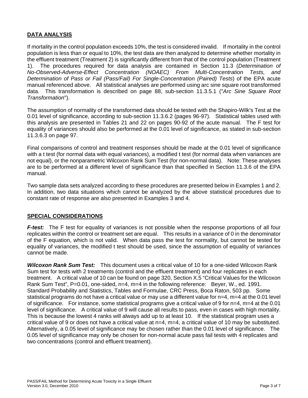# **DATA ANALYSIS**

If mortality in the control population exceeds 10%, the test is considered invalid. If mortality in the control population is less than or equal to 10%, the test data are then analyzed to determine whether mortality in the effluent treatment (Treatment 2) is significantly different from that of the control population (Treatment 1). The procedures required for data analysis are contained in Section 11.3 (*Determination of No-Observed-Adverse-Effect Concentration (NOAEC) From Multi-Concentration Tests, and Determination of Pass or Fail (Pass/Fail) For Single-Concentration (Paired) Tests*) of the EPA acute manual referenced above. All statistical analyses are performed using arc sine square root transformed data. This transformation is described on page 88, sub-section 11.3.5.1 ("*Arc Sine Square Root Transformation*").

The assumption of normality of the transformed data should be tested with the Shapiro-Wilk's Test at the 0.01 level of significance, according to sub-section 11.3.6.2 (pages 96-97). Statistical tables used with this analysis are presented in Tables 21 and 22 on pages 90-92 of the acute manual. The F test for equality of variances should also be performed at the 0.01 level of significance, as stated in sub-section 11.3.6.3 on page 97.

Final comparisons of control and treatment responses should be made at the 0.01 level of significance with a t test (for normal data with equal variances), a modified t test (for normal data when variances are not equal), or the nonparametric Wilcoxon Rank Sum Test (for non-normal data). Note: These analyses are to be performed at a different level of significance than that specified in Section 11.3.6 of the EPA manual.

Two sample data sets analyzed according to these procedures are presented below in Examples 1 and 2. In addition, two data situations which cannot be analyzed by the above statistical procedures due to constant rate of response are also presented in Examples 3 and 4.

### **SPECIAL CONSIDERATIONS**

*F-test:* The F test for equality of variances is not possible when the response proportions of all four replicates within the control or treatment set are equal. This results in a variance of 0 in the denominator of the F equation, which is not valid. When data pass the test for normality, but cannot be tested for equality of variances, the modified t test should be used, since the assumption of equality of variances cannot be made.

*Wilcoxon Rank Sum Test:* This document uses a critical value of 10 for a one-sided Wilcoxon Rank Sum test for tests with 2 treatments (control and the effluent treatment) and four replicates in each treatment. A critical value of 10 can be found on page 320, Section X.5 "Critical Values for the Wilcoxon Rank Sum Test", P=0.01, one-sided, n=4, m=4 in the following reference: Beyer, W., ed. 1991. Standard Probability and Statistics, Tables and Formulae, CRC Press, Boca Raton, 503 pp. Some statistical programs do not have a critical value or may use a different value for  $n=4$ , m=4 at the 0.01 level of significance. For instance, some statistical programs give a critical value of 9 for n=4, m=4 at the 0.01 level of significance. A critical value of 9 will cause all results to pass, even in cases with high mortality. This is because the lowest 4 ranks will always add up to at least 10. If the statistical program uses a critical value of 9 or does not have a critical value at n=4, m=4, a critical value of 10 may be substituted. Alternatively, a 0.05 level of significance may be chosen rather than the 0.01 level of significance. The 0.05 level of significance may only be chosen for non-normal acute pass fail tests with 4 replicates and two concentrations (control and effluent treatment).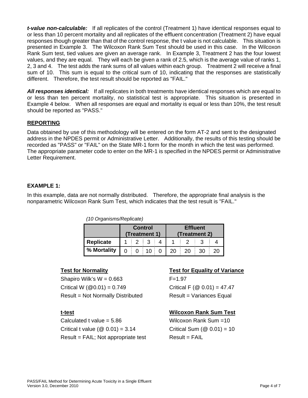*t-value non-calculable:* If all replicates of the control (Treatment 1) have identical responses equal to or less than 10 percent mortality and all replicates of the effluent concentration (Treatment 2) have equal responses though greater than that of the control response, the t value is not calculable. This situation is presented in Example 3. The Wilcoxon Rank Sum Test should be used in this case. In the Wilcoxon Rank Sum test, tied values are given an average rank. In Example 3, Treatment 2 has the four lowest values, and they are equal. They will each be given a rank of 2.5, which is the average value of ranks 1, 2, 3 and 4. The test adds the rank sums of all values within each group. Treatment 2 will receive a final sum of 10. This sum is equal to the critical sum of 10, indicating that the responses are statistically different. Therefore, the test result should be reported as "FAIL."

*All responses identical:* If all replicates in both treatments have identical responses which are equal to or less than ten percent mortality, no statistical test is appropriate. This situation is presented in Example 4 below. When all responses are equal and mortality is equal or less than 10%, the test result should be reported as "PASS."

# **REPORTING**

Data obtained by use of this methodology will be entered on the form AT-2 and sent to the designated address in the NPDES permit or Administrative Letter. Additionally, the results of this testing should be recorded as "PASS" or "FAIL" on the State MR-1 form for the month in which the test was performed. The appropriate parameter code to enter on the MR-1 is specified in the NPDES permit or Administrative Letter Requirement.

### **EXAMPLE 1:**

In this example, data are not normally distributed. Therefore, the appropriate final analysis is the nonparametric Wilcoxon Rank Sum Test, which indicates that the test result is "FAIL."

|  |  | (10 Organisms/Replicate) |
|--|--|--------------------------|
|  |  |                          |

|             | <b>Control</b><br>(Treatment 1) |  |      |  | <b>Effluent</b><br>(Treatment 2) |    |    |    |  |
|-------------|---------------------------------|--|------|--|----------------------------------|----|----|----|--|
| Replicate   |                                 |  |      |  |                                  |    |    |    |  |
| % Mortality |                                 |  | 10 I |  |                                  | 20 | 30 | 20 |  |

Shapiro Wilk's  $W = 0.663$  F=1.97 Critical W  $(\textcircled{0.01}) = 0.749$  Critical F  $(\textcircled{0.01}) = 47.47$ Result = Not Normally Distributed Result = Variances Equal

Calculated t value = 5.86 Wilcoxon Rank Sum =10 Critical t value  $(@ 0.01) = 3.14$  Critical Sum  $(@ 0.01) = 10$ Result = FAIL; Not appropriate test Result = FAIL

### **Test for Normality Test for Equality of Variance**

### **t-test Wilcoxon Rank Sum Test**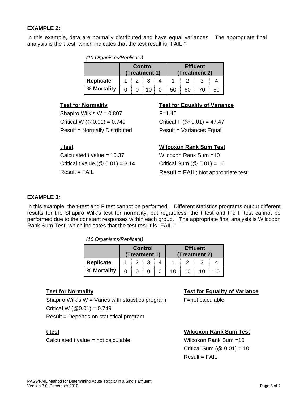### **EXAMPLE 2:**

In this example, data are normally distributed and have equal variances. The appropriate final analysis is the t test, which indicates that the test result is "FAIL."

*(10 Organisms/Replicate)* 

|                  | <b>Control</b><br>(Treatment 1) |  |  |  | <b>Effluent</b><br>(Treatment 2) |    |  |  |  |
|------------------|---------------------------------|--|--|--|----------------------------------|----|--|--|--|
| <b>Replicate</b> |                                 |  |  |  |                                  |    |  |  |  |
| % Mortality      |                                 |  |  |  | 50                               | 60 |  |  |  |

Shapiro Wilk's  $W = 0.807$  F=1.46 Critical W  $(\textcircled{ }0.01) = 0.749$  Critical F  $(\textcircled{ }0.01) = 47.47$ Result = Normally Distributed Result = Variances Equal

Calculated t value = 10.37 Wilcoxon Rank Sum =10 Critical t value ( $\textcircled{0}$  0.01) = 3.14 Critical Sum ( $\textcircled{0}$  0.01) = 10

#### **Test for Normality Test for Equality of Variance**

### **t test Wilcoxon Rank Sum Test**

Result = FAIL Result = FAIL; Not appropriate test

#### **EXAMPLE 3***:*

In this example, the t-test and F test cannot be performed. Different statistics programs output different results for the Shapiro Wilk's test for normality, but regardless, the t test and the F test cannot be performed due to the constant responses within each group. The appropriate final analysis is Wilcoxon Rank Sum Test, which indicates that the test result is "FAIL."

*(10 Organisms/Replicate)* 

|                  | <b>Control</b><br>(Treatment 1) |  |  | <b>Effluent</b><br>(Treatment 2) |  |  |  |  |
|------------------|---------------------------------|--|--|----------------------------------|--|--|--|--|
| <b>Replicate</b> |                                 |  |  |                                  |  |  |  |  |
| % Mortality      |                                 |  |  |                                  |  |  |  |  |

Shapiro Wilk's  $W =$  Varies with statistics program  $F =$ not calculable Critical W  $(@0.01) = 0.749$ Result = Depends on statistical program

Calculated t value = not calculable Wilcoxon Rank Sum =10

#### **Test for Normality Test for Equality of Variance**

# **t test Wilcoxon Rank Sum Test**

Critical Sum  $(\textcircled{2} 0.01) = 10$  $Result = FAIL$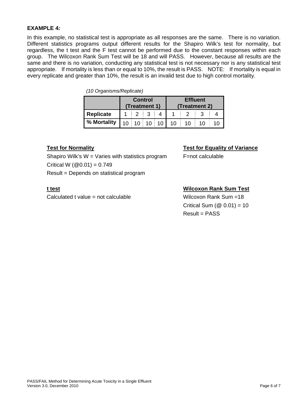#### **EXAMPLE 4***:*

In this example, no statistical test is appropriate as all responses are the same. There is no variation. Different statistics programs output different results for the Shapiro Wilk's test for normality, but regardless, the t test and the F test cannot be performed due to the constant responses within each group. The Wilcoxon Rank Sum Test will be 18 and will PASS. However, because all results are the same and there is no variation, conducting any statistical test is not necessary nor is any statistical test appropriate. If mortality is less than or equal to 10%, the result is PASS. NOTE: If mortality is equal in every replicate and greater than 10%, the result is an invalid test due to high control mortality.

| $(10$ Organisms, replicate, |                                 |  |                              |  |                                  |    |  |    |  |  |  |
|-----------------------------|---------------------------------|--|------------------------------|--|----------------------------------|----|--|----|--|--|--|
|                             | <b>Control</b><br>(Treatment 1) |  |                              |  | <b>Effluent</b><br>(Treatment 2) |    |  |    |  |  |  |
| Replicate                   |                                 |  |                              |  |                                  |    |  |    |  |  |  |
| % Mortality                 |                                 |  | $10 \mid 10 \mid 10 \mid 10$ |  | 10 <sup>1</sup>                  | 10 |  | 10 |  |  |  |

# *(10 Organisms/Replicate)*

Shapiro Wilk's  $W =$  Varies with statistics program  $F =$ not calculable Critical W  $(@0.01) = 0.749$ Result = Depends on statistical program

Calculated t value = not calculable Wilcoxon Rank Sum =18

### **Test for Normality Test for Equality of Variance**

### **t test Wilcoxon Rank Sum Test**

Critical Sum  $(\textcircled{2} 0.01) = 10$ Result = PASS